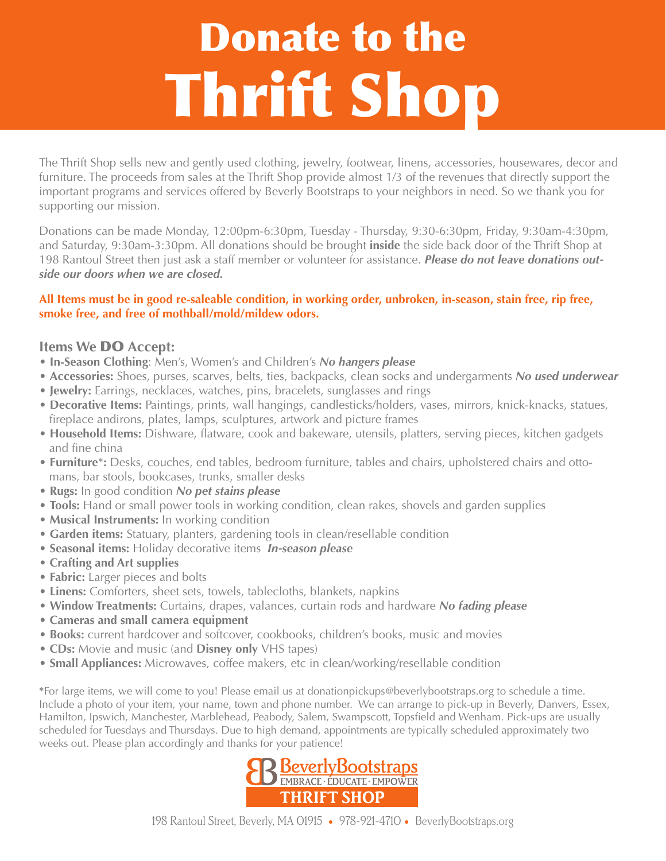# Donate to the Thrift Shop

The Thrift Shop sells new and gently used clothing, jewelry, footwear, linens, accessories, housewares, decor and furniture. The proceeds from sales at the Thrift Shop provide almost 1/3 of the revenues that directly support the important programs and services offered by Beverly Bootstraps to your neighbors in need. So we thank you for supporting our mission.

Donations can be made Monday, 12:00pm-6:30pm, Tuesday - Thursday, 9:30-6:30pm, Friday, 9:30am-4:30pm, and Saturday, 9:30am-3:30pm. All donations should be brought **inside** the side back door of the Thrift Shop at 198 Rantoul Street then just ask a staff member or volunteer for assistance. *Please do not leave donations outside our doors when we are closed.* 

#### **All Items must be in good re-saleable condition, in working order, unbroken, in-season, stain free, rip free, smoke free, and free of mothball/mold/mildew odors.**

#### **Items We** DO **Accept:**

- **In-Season Clothing**: Men's, Women's and Children's *No hangers please*
- **Accessories:** Shoes, purses, scarves, belts, ties, backpacks, clean socks and undergarments *No used underwear*
- **Jewelry:** Earrings, necklaces, watches, pins, bracelets, sunglasses and rings
- **Decorative Items:** Paintings, prints, wall hangings, candlesticks/holders, vases, mirrors, knick-knacks, statues, fireplace andirons, plates, lamps, sculptures, artwork and picture frames
- **Household Items:** Dishware, flatware, cook and bakeware, utensils, platters, serving pieces, kitchen gadgets and fine china
- **Furniture**\***:** Desks, couches, end tables, bedroom furniture, tables and chairs, upholstered chairs and otto mans, bar stools, bookcases, trunks, smaller desks
- **Rugs:** In good condition *No pet stains please*
- **Tools:** Hand or small power tools in working condition, clean rakes, shovels and garden supplies
- **Musical Instruments:** In working condition
- **Garden items:** Statuary, planters, gardening tools in clean/resellable condition
- **Seasonal items:** Holiday decorative items *In-season please*
- **Crafting and Art supplies**
- **Fabric:** Larger pieces and bolts
- **Linens:** Comforters, sheet sets, towels, tablecloths, blankets, napkins
- **Window Treatments:** Curtains, drapes, valances, curtain rods and hardware *No fading please*
- **Cameras and small camera equipment**
- **Books:** current hardcover and softcover, cookbooks, children's books, music and movies
- **CDs:** Movie and music (and **Disney only** VHS tapes)
- **Small Appliances:** Microwaves, coffee makers, etc in clean/working/resellable condition

**\***For large items, we will come to you! Please email us at donationpickups@beverlybootstraps.org to schedule a time. Include a photo of your item, your name, town and phone number. We can arrange to pick-up in Beverly, Danvers, Essex, Hamilton, Ipswich, Manchester, Marblehead, Peabody, Salem, Swampscott, Topsfield and Wenham. Pick-ups are usually scheduled for Tuesdays and Thursdays. Due to high demand, appointments are typically scheduled approximately two weeks out. Please plan accordingly and thanks for your patience!